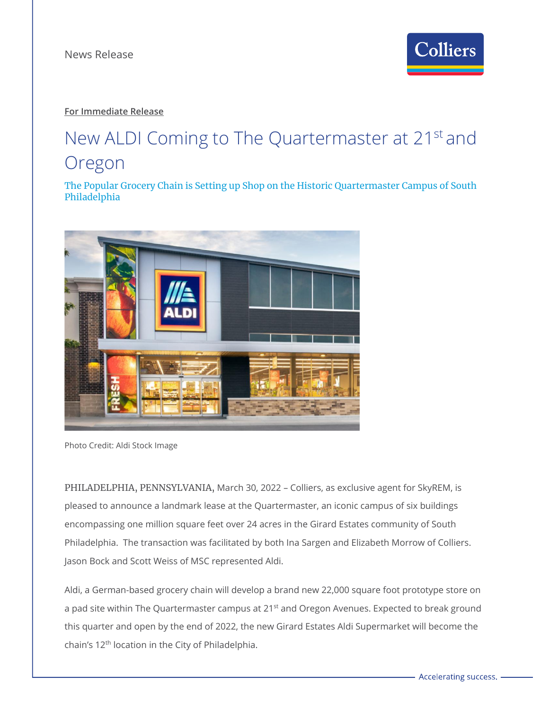

## **For Immediate Release**

# New ALDI Coming to The Quartermaster at 21<sup>st</sup> and Oregon

The Popular Grocery Chain is Setting up Shop on the Historic Quartermaster Campus of South Philadelphia



Photo Credit: Aldi Stock Image

PHILADELPHIA, PENNSYLVANIA, March 30, 2022 – Colliers, as exclusive agent for SkyREM, is pleased to announce a landmark lease at the Quartermaster, an iconic campus of six buildings encompassing one million square feet over 24 acres in the Girard Estates community of South Philadelphia. The transaction was facilitated by both Ina Sargen and Elizabeth Morrow of Colliers. Jason Bock and Scott Weiss of MSC represented Aldi.

Aldi, a German-based grocery chain will develop a brand new 22,000 square foot prototype store on a pad site within The Quartermaster campus at 21<sup>st</sup> and Oregon Avenues. Expected to break ground this quarter and open by the end of 2022, the new Girard Estates Aldi Supermarket will become the chain's 12<sup>th</sup> location in the City of Philadelphia.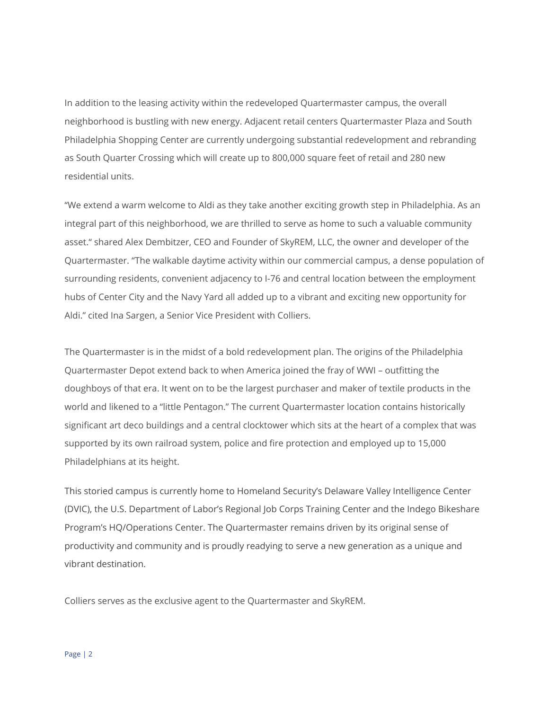In addition to the leasing activity within the redeveloped Quartermaster campus, the overall neighborhood is bustling with new energy. Adjacent retail centers Quartermaster Plaza and South Philadelphia Shopping Center are currently undergoing substantial redevelopment and rebranding as South Quarter Crossing which will create up to 800,000 square feet of retail and 280 new residential units.

"We extend a warm welcome to Aldi as they take another exciting growth step in Philadelphia. As an integral part of this neighborhood, we are thrilled to serve as home to such a valuable community asset." shared Alex Dembitzer, CEO and Founder of SkyREM, LLC, the owner and developer of the Quartermaster. "The walkable daytime activity within our commercial campus, a dense population of surrounding residents, convenient adjacency to I-76 and central location between the employment hubs of Center City and the Navy Yard all added up to a vibrant and exciting new opportunity for Aldi." cited Ina Sargen, a Senior Vice President with Colliers.

The Quartermaster is in the midst of a bold redevelopment plan. The origins of the Philadelphia Quartermaster Depot extend back to when America joined the fray of WWI – outfitting the doughboys of that era. It went on to be the largest purchaser and maker of textile products in the world and likened to a "little Pentagon." The current Quartermaster location contains historically significant art deco buildings and a central clocktower which sits at the heart of a complex that was supported by its own railroad system, police and fire protection and employed up to 15,000 Philadelphians at its height.

This storied campus is currently home to Homeland Security's Delaware Valley Intelligence Center (DVIC), the U.S. Department of Labor's Regional Job Corps Training Center and the Indego Bikeshare Program's HQ/Operations Center. The Quartermaster remains driven by its original sense of productivity and community and is proudly readying to serve a new generation as a unique and vibrant destination.

Colliers serves as the exclusive agent to the Quartermaster and SkyREM.